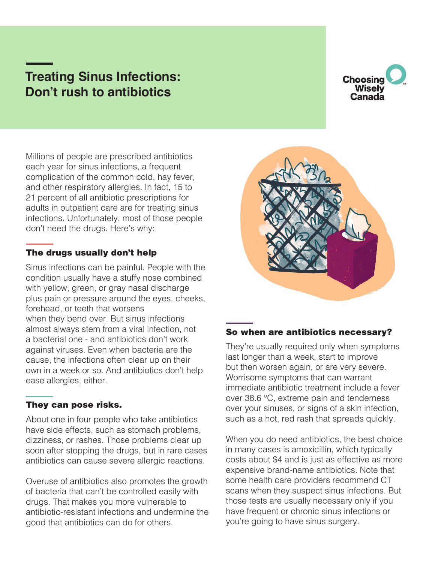# **Treating Sinus Infections: Don't rush to antibiotics**



Millions of people are prescribed antibiotics each year for sinus infections, a frequent complication of the common cold, hay fever, and other respiratory allergies. In fact, 15 to 21 percent of all antibiotic prescriptions for adults in outpatient care are for treating sinus infections. Unfortunately, most of those people don't need the drugs. Here's why:

## The drugs usually don't help

Sinus infections can be painful. People with the condition usually have a stuffy nose combined with yellow, green, or gray nasal discharge plus pain or pressure around the eyes, cheeks, forehead, or teeth that worsens when they bend over. But sinus infections almost always stem from a viral infection, not a bacterial one - and antibiotics don't work against viruses. Even when bacteria are the cause, the infections often clear up on their own in a week or so. And antibiotics don't help ease allergies, either.

## They can pose risks.

About one in four people who take antibiotics have side effects, such as stomach problems, dizziness, or rashes. Those problems clear up soon after stopping the drugs, but in rare cases antibiotics can cause severe allergic reactions.

Overuse of antibiotics also promotes the growth of bacteria that can't be controlled easily with drugs. That makes you more vulnerable to antibiotic-resistant infections and undermine the good that antibiotics can do for others.



#### So when are antibiotics necessary?

They're usually required only when symptoms last longer than a week, start to improve but then worsen again, or are very severe. Worrisome symptoms that can warrant immediate antibiotic treatment include a fever over 38.6 °C, extreme pain and tenderness over your sinuses, or signs of a skin infection, such as a hot, red rash that spreads quickly.

When you do need antibiotics, the best choice in many cases is amoxicillin, which typically costs about \$4 and is just as effective as more expensive brand-name antibiotics. Note that some health care providers recommend CT scans when they suspect sinus infections. But those tests are usually necessary only if you have frequent or chronic sinus infections or you're going to have sinus surgery.